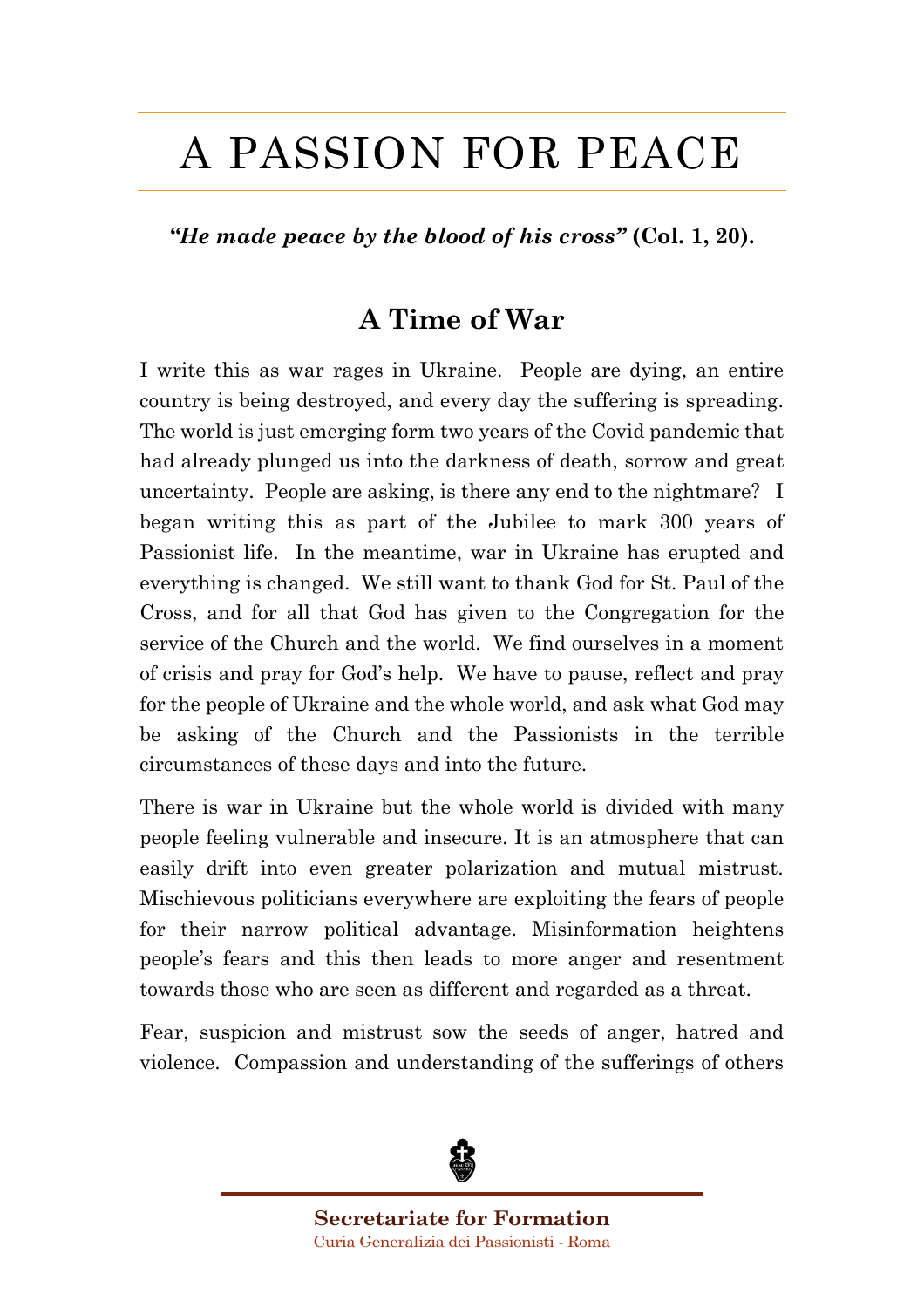# A PASSION FOR PEACE

*"He made peace by the blood of his cross"* **(Col. 1, 20).**

# **A Time of War**

I write this as war rages in Ukraine. People are dying, an entire country is being destroyed, and every day the suffering is spreading. The world is just emerging form two years of the Covid pandemic that had already plunged us into the darkness of death, sorrow and great uncertainty. People are asking, is there any end to the nightmare? I began writing this as part of the Jubilee to mark 300 years of Passionist life. In the meantime, war in Ukraine has erupted and everything is changed. We still want to thank God for St. Paul of the Cross, and for all that God has given to the Congregation for the service of the Church and the world. We find ourselves in a moment of crisis and pray for God's help. We have to pause, reflect and pray for the people of Ukraine and the whole world, and ask what God may be asking of the Church and the Passionists in the terrible circumstances of these days and into the future.

There is war in Ukraine but the whole world is divided with many people feeling vulnerable and insecure. It is an atmosphere that can easily drift into even greater polarization and mutual mistrust. Mischievous politicians everywhere are exploiting the fears of people for their narrow political advantage. Misinformation heightens people's fears and this then leads to more anger and resentment towards those who are seen as different and regarded as a threat.

Fear, suspicion and mistrust sow the seeds of anger, hatred and violence. Compassion and understanding of the sufferings of others



**Secretariate for Formation** Curia Generalizia dei Passionisti - Roma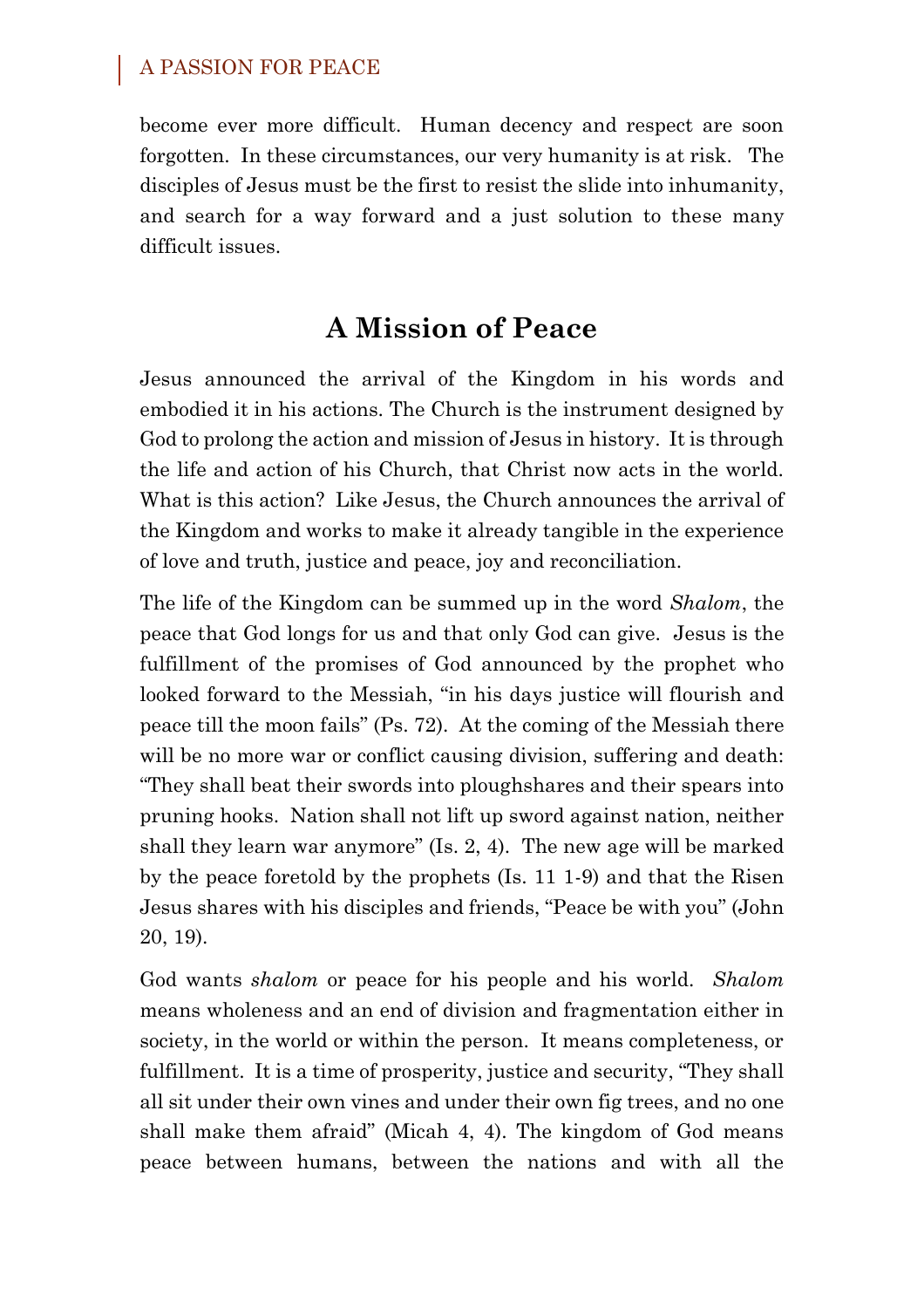become ever more difficult. Human decency and respect are soon forgotten. In these circumstances, our very humanity is at risk. The disciples of Jesus must be the first to resist the slide into inhumanity, and search for a way forward and a just solution to these many difficult issues.

# **A Mission of Peace**

Jesus announced the arrival of the Kingdom in his words and embodied it in his actions. The Church is the instrument designed by God to prolong the action and mission of Jesus in history. It is through the life and action of his Church, that Christ now acts in the world. What is this action? Like Jesus, the Church announces the arrival of the Kingdom and works to make it already tangible in the experience of love and truth, justice and peace, joy and reconciliation.

The life of the Kingdom can be summed up in the word *Shalom*, the peace that God longs for us and that only God can give. Jesus is the fulfillment of the promises of God announced by the prophet who looked forward to the Messiah, "in his days justice will flourish and peace till the moon fails" (Ps. 72). At the coming of the Messiah there will be no more war or conflict causing division, suffering and death: "They shall beat their swords into ploughshares and their spears into pruning hooks. Nation shall not lift up sword against nation, neither shall they learn war anymore" (Is. 2, 4). The new age will be marked by the peace foretold by the prophets (Is. 11 1-9) and that the Risen Jesus shares with his disciples and friends, "Peace be with you" (John 20, 19).

God wants *shalom* or peace for his people and his world. *Shalom* means wholeness and an end of division and fragmentation either in society, in the world or within the person. It means completeness, or fulfillment. It is a time of prosperity, justice and security, "They shall all sit under their own vines and under their own fig trees, and no one shall make them afraid" (Micah 4, 4). The kingdom of God means peace between humans, between the nations and with all the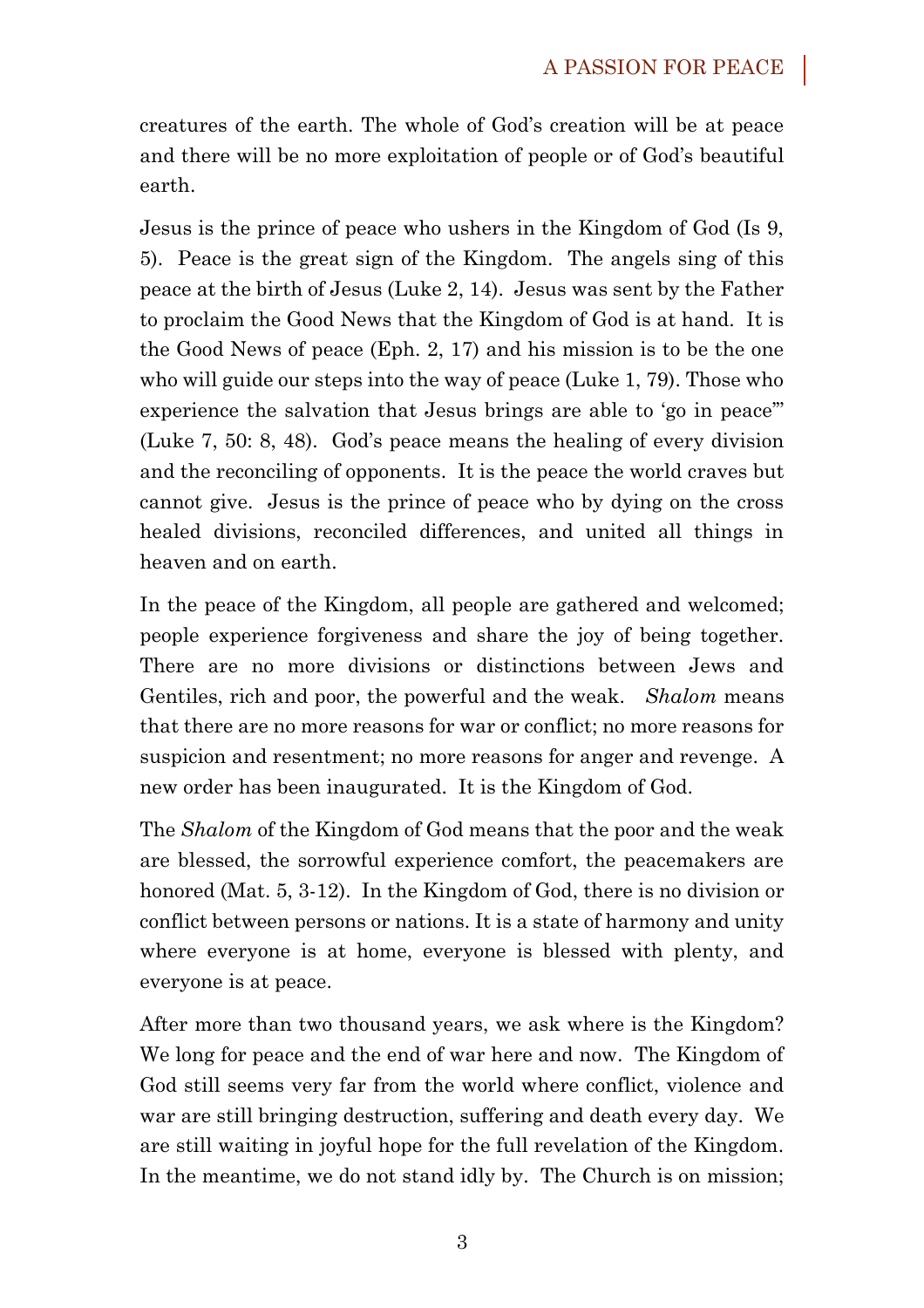creatures of the earth. The whole of God's creation will be at peace and there will be no more exploitation of people or of God's beautiful earth.

Jesus is the prince of peace who ushers in the Kingdom of God (Is 9, 5). Peace is the great sign of the Kingdom. The angels sing of this peace at the birth of Jesus (Luke 2, 14). Jesus was sent by the Father to proclaim the Good News that the Kingdom of God is at hand. It is the Good News of peace (Eph. 2, 17) and his mission is to be the one who will guide our steps into the way of peace (Luke 1, 79). Those who experience the salvation that Jesus brings are able to 'go in peace'" (Luke 7, 50: 8, 48). God's peace means the healing of every division and the reconciling of opponents. It is the peace the world craves but cannot give. Jesus is the prince of peace who by dying on the cross healed divisions, reconciled differences, and united all things in heaven and on earth.

In the peace of the Kingdom, all people are gathered and welcomed; people experience forgiveness and share the joy of being together. There are no more divisions or distinctions between Jews and Gentiles, rich and poor, the powerful and the weak. *Shalom* means that there are no more reasons for war or conflict; no more reasons for suspicion and resentment; no more reasons for anger and revenge. A new order has been inaugurated. It is the Kingdom of God.

The *Shalom* of the Kingdom of God means that the poor and the weak are blessed, the sorrowful experience comfort, the peacemakers are honored (Mat. 5, 3-12). In the Kingdom of God, there is no division or conflict between persons or nations. It is a state of harmony and unity where everyone is at home, everyone is blessed with plenty, and everyone is at peace.

After more than two thousand years, we ask where is the Kingdom? We long for peace and the end of war here and now. The Kingdom of God still seems very far from the world where conflict, violence and war are still bringing destruction, suffering and death every day. We are still waiting in joyful hope for the full revelation of the Kingdom. In the meantime, we do not stand idly by. The Church is on mission;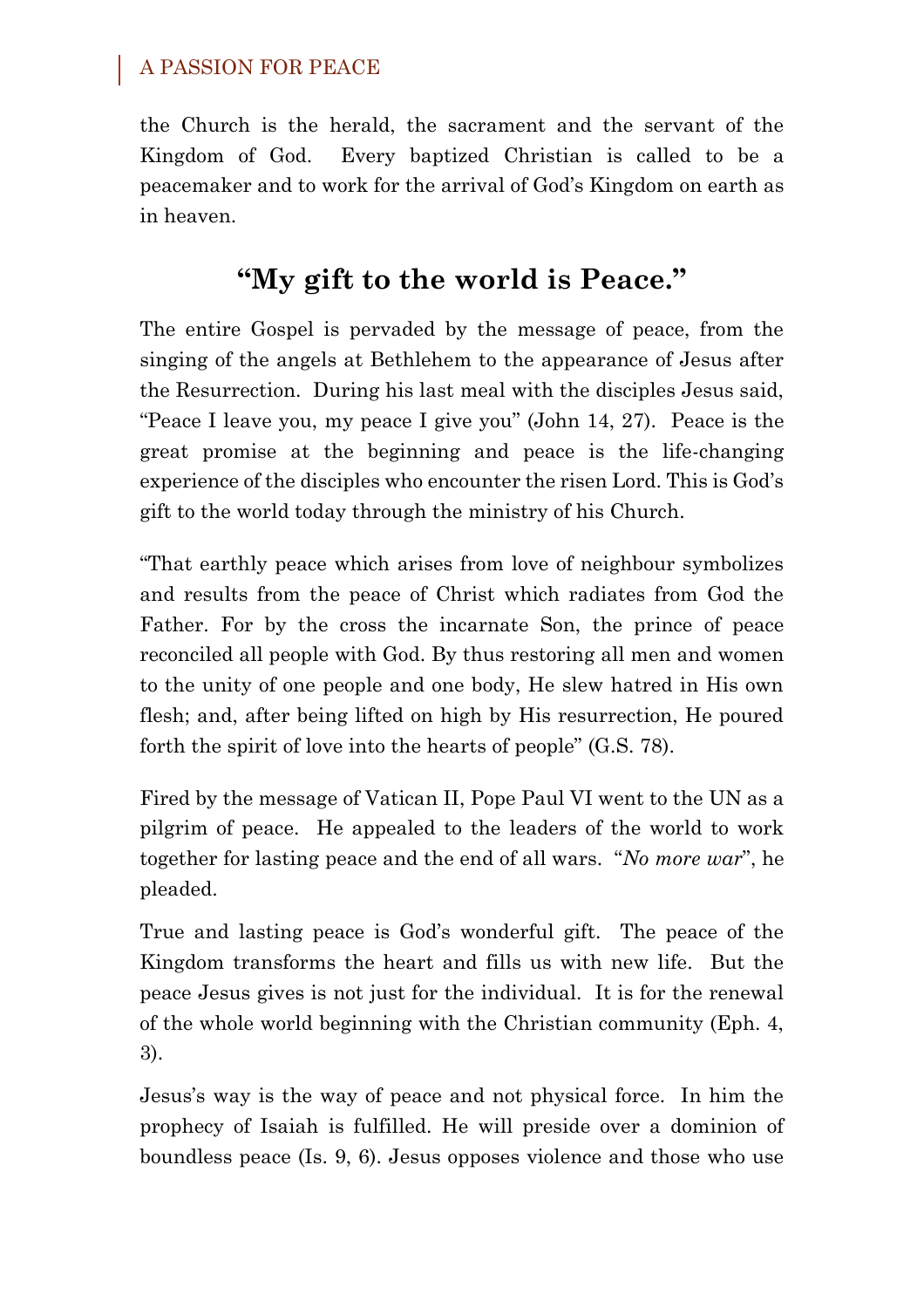the Church is the herald, the sacrament and the servant of the Kingdom of God. Every baptized Christian is called to be a peacemaker and to work for the arrival of God's Kingdom on earth as in heaven.

# **"My gift to the world is Peace."**

The entire Gospel is pervaded by the message of peace, from the singing of the angels at Bethlehem to the appearance of Jesus after the Resurrection. During his last meal with the disciples Jesus said, "Peace I leave you, my peace I give you" (John 14, 27). Peace is the great promise at the beginning and peace is the life-changing experience of the disciples who encounter the risen Lord. This is God's gift to the world today through the ministry of his Church.

"That earthly peace which arises from love of neighbour symbolizes and results from the peace of Christ which radiates from God the Father. For by the cross the incarnate Son, the prince of peace reconciled all people with God. By thus restoring all men and women to the unity of one people and one body, He slew hatred in His own flesh; and, after being lifted on high by His resurrection, He poured forth the spirit of love into the hearts of people" (G.S. 78).

Fired by the message of Vatican II, Pope Paul VI went to the UN as a pilgrim of peace. He appealed to the leaders of the world to work together for lasting peace and the end of all wars. "*No more war*", he pleaded.

True and lasting peace is God's wonderful gift. The peace of the Kingdom transforms the heart and fills us with new life. But the peace Jesus gives is not just for the individual. It is for the renewal of the whole world beginning with the Christian community (Eph. 4, 3).

Jesus's way is the way of peace and not physical force. In him the prophecy of Isaiah is fulfilled. He will preside over a dominion of boundless peace (Is. 9, 6). Jesus opposes violence and those who use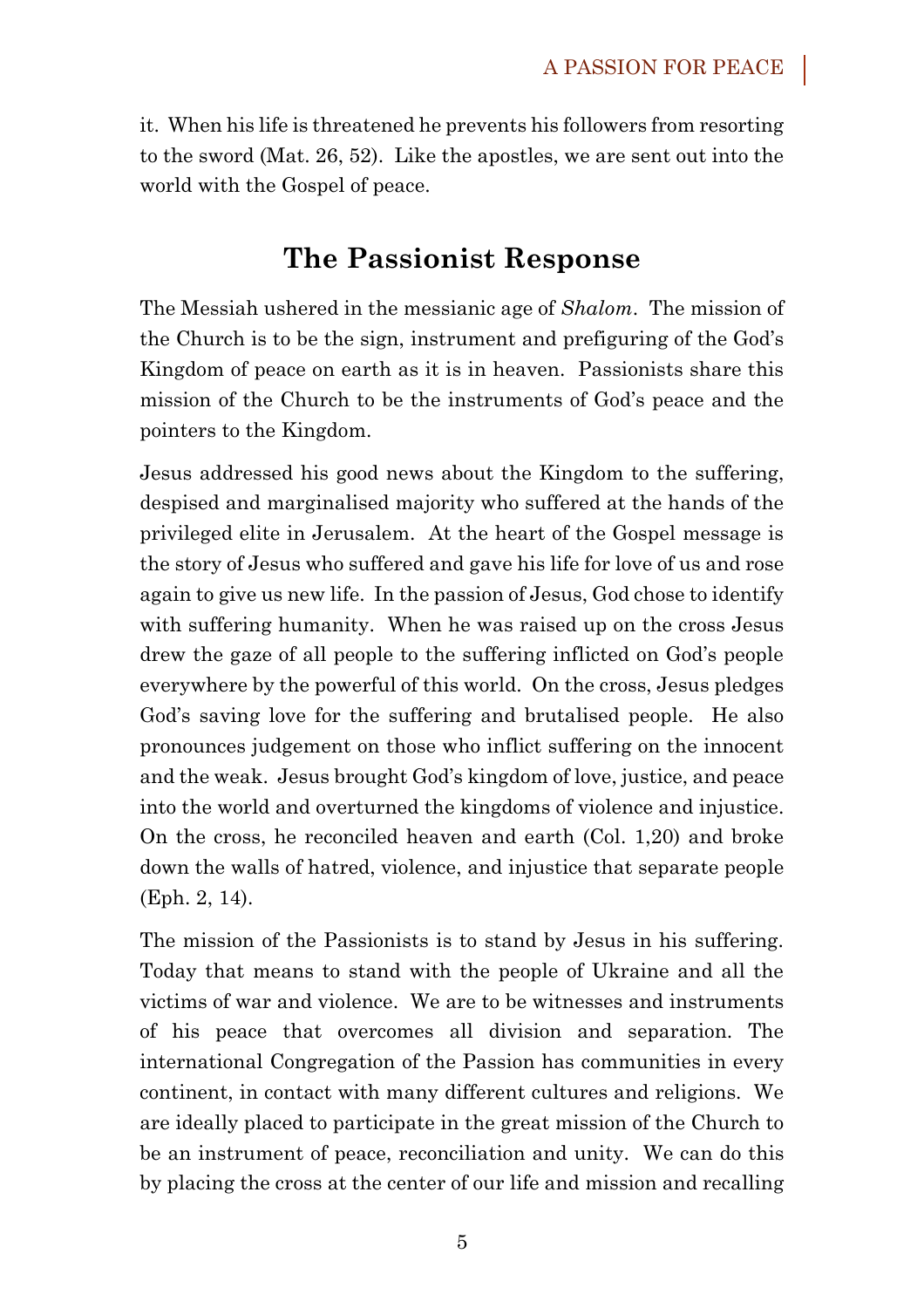it. When his life is threatened he prevents his followers from resorting to the sword (Mat. 26, 52). Like the apostles, we are sent out into the world with the Gospel of peace.

### **The Passionist Response**

The Messiah ushered in the messianic age of *Shalom*. The mission of the Church is to be the sign, instrument and prefiguring of the God's Kingdom of peace on earth as it is in heaven. Passionists share this mission of the Church to be the instruments of God's peace and the pointers to the Kingdom.

Jesus addressed his good news about the Kingdom to the suffering, despised and marginalised majority who suffered at the hands of the privileged elite in Jerusalem. At the heart of the Gospel message is the story of Jesus who suffered and gave his life for love of us and rose again to give us new life. In the passion of Jesus, God chose to identify with suffering humanity. When he was raised up on the cross Jesus drew the gaze of all people to the suffering inflicted on God's people everywhere by the powerful of this world. On the cross, Jesus pledges God's saving love for the suffering and brutalised people. He also pronounces judgement on those who inflict suffering on the innocent and the weak. Jesus brought God's kingdom of love, justice, and peace into the world and overturned the kingdoms of violence and injustice. On the cross, he reconciled heaven and earth (Col. 1,20) and broke down the walls of hatred, violence, and injustice that separate people (Eph. 2, 14).

The mission of the Passionists is to stand by Jesus in his suffering. Today that means to stand with the people of Ukraine and all the victims of war and violence. We are to be witnesses and instruments of his peace that overcomes all division and separation. The international Congregation of the Passion has communities in every continent, in contact with many different cultures and religions. We are ideally placed to participate in the great mission of the Church to be an instrument of peace, reconciliation and unity. We can do this by placing the cross at the center of our life and mission and recalling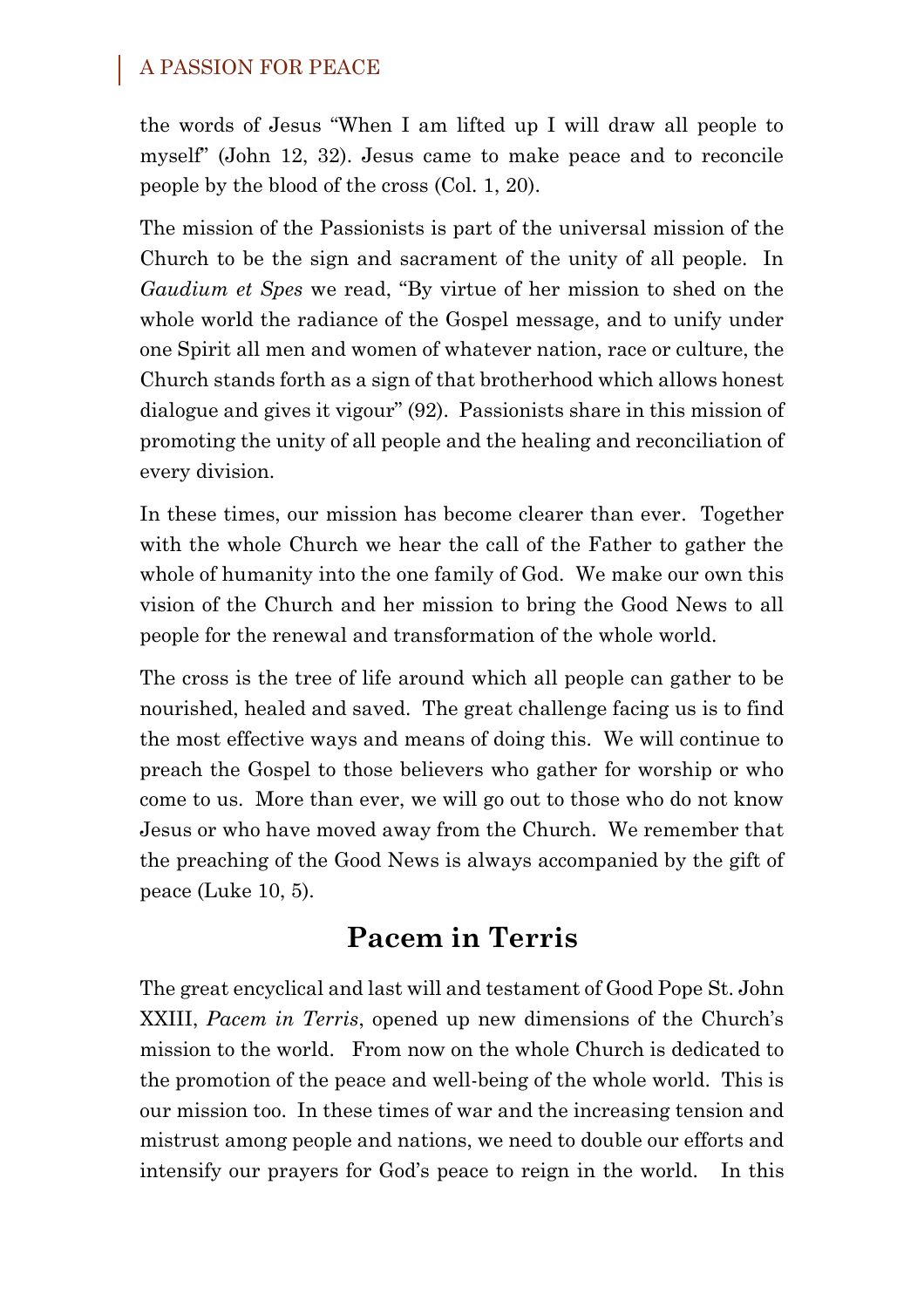#### A PASSION FOR PEACE

the words of Jesus "When I am lifted up I will draw all people to myself" (John 12, 32). Jesus came to make peace and to reconcile people by the blood of the cross (Col. 1, 20).

The mission of the Passionists is part of the universal mission of the Church to be the sign and sacrament of the unity of all people. In *Gaudium et Spes* we read, "By virtue of her mission to shed on the whole world the radiance of the Gospel message, and to unify under one Spirit all men and women of whatever nation, race or culture, the Church stands forth as a sign of that brotherhood which allows honest dialogue and gives it vigour" (92). Passionists share in this mission of promoting the unity of all people and the healing and reconciliation of every division.

In these times, our mission has become clearer than ever. Together with the whole Church we hear the call of the Father to gather the whole of humanity into the one family of God. We make our own this vision of the Church and her mission to bring the Good News to all people for the renewal and transformation of the whole world.

The cross is the tree of life around which all people can gather to be nourished, healed and saved. The great challenge facing us is to find the most effective ways and means of doing this. We will continue to preach the Gospel to those believers who gather for worship or who come to us. More than ever, we will go out to those who do not know Jesus or who have moved away from the Church. We remember that the preaching of the Good News is always accompanied by the gift of peace (Luke 10, 5).

## **Pacem in Terris**

The great encyclical and last will and testament of Good Pope St. John XXIII, *Pacem in Terris*, opened up new dimensions of the Church's mission to the world. From now on the whole Church is dedicated to the promotion of the peace and well-being of the whole world. This is our mission too. In these times of war and the increasing tension and mistrust among people and nations, we need to double our efforts and intensify our prayers for God's peace to reign in the world. In this